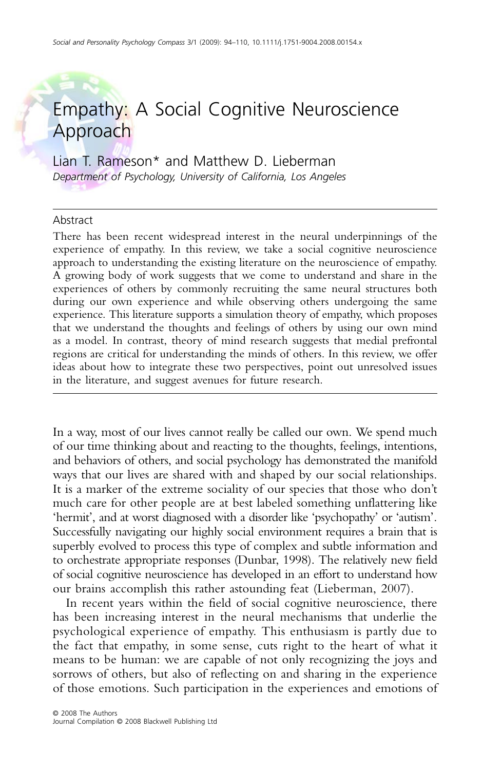# Empathy: A Social Cognitive Neuroscience Approach

Lian T. Rameson\* and Matthew D. Lieberman *Department of Psychology, University of California, Los Angeles*

#### Abstract

There has been recent widespread interest in the neural underpinnings of the experience of empathy. In this review, we take a social cognitive neuroscience approach to understanding the existing literature on the neuroscience of empathy. A growing body of work suggests that we come to understand and share in the experiences of others by commonly recruiting the same neural structures both during our own experience and while observing others undergoing the same experience. This literature supports a simulation theory of empathy, which proposes that we understand the thoughts and feelings of others by using our own mind as a model. In contrast, theory of mind research suggests that medial prefrontal regions are critical for understanding the minds of others. In this review, we offer ideas about how to integrate these two perspectives, point out unresolved issues in the literature, and suggest avenues for future research.

In a way, most of our lives cannot really be called our own. We spend much of our time thinking about and reacting to the thoughts, feelings, intentions, and behaviors of others, and social psychology has demonstrated the manifold ways that our lives are shared with and shaped by our social relationships. It is a marker of the extreme sociality of our species that those who don't much care for other people are at best labeled something unflattering like 'hermit', and at worst diagnosed with a disorder like 'psychopathy' or 'autism'. Successfully navigating our highly social environment requires a brain that is superbly evolved to process this type of complex and subtle information and to orchestrate appropriate responses (Dunbar, 1998). The relatively new field of social cognitive neuroscience has developed in an effort to understand how our brains accomplish this rather astounding feat (Lieberman, 2007).

In recent years within the field of social cognitive neuroscience, there has been increasing interest in the neural mechanisms that underlie the psychological experience of empathy. This enthusiasm is partly due to the fact that empathy, in some sense, cuts right to the heart of what it means to be human: we are capable of not only recognizing the joys and sorrows of others, but also of reflecting on and sharing in the experience of those emotions. Such participation in the experiences and emotions of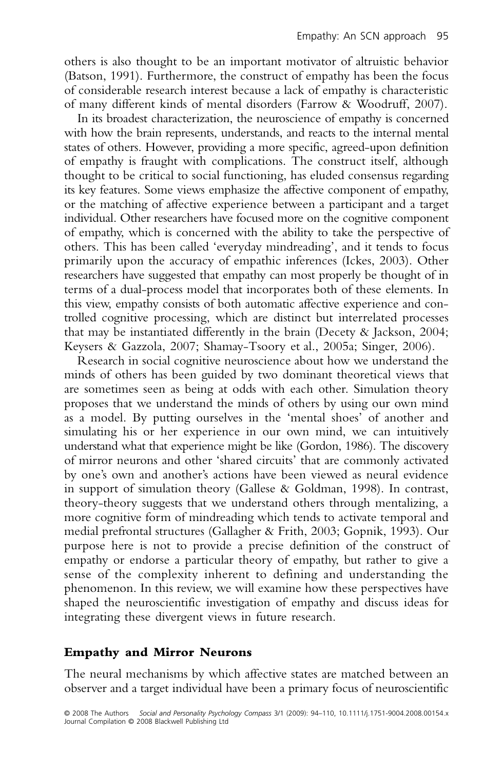others is also thought to be an important motivator of altruistic behavior (Batson, 1991). Furthermore, the construct of empathy has been the focus of considerable research interest because a lack of empathy is characteristic of many different kinds of mental disorders (Farrow & Woodruff, 2007).

In its broadest characterization, the neuroscience of empathy is concerned with how the brain represents, understands, and reacts to the internal mental states of others. However, providing a more specific, agreed-upon definition of empathy is fraught with complications. The construct itself, although thought to be critical to social functioning, has eluded consensus regarding its key features. Some views emphasize the affective component of empathy, or the matching of affective experience between a participant and a target individual. Other researchers have focused more on the cognitive component of empathy, which is concerned with the ability to take the perspective of others. This has been called 'everyday mindreading', and it tends to focus primarily upon the accuracy of empathic inferences (Ickes, 2003). Other researchers have suggested that empathy can most properly be thought of in terms of a dual-process model that incorporates both of these elements. In this view, empathy consists of both automatic affective experience and controlled cognitive processing, which are distinct but interrelated processes that may be instantiated differently in the brain (Decety & Jackson, 2004; Keysers & Gazzola, 2007; Shamay-Tsoory et al., 2005a; Singer, 2006).

Research in social cognitive neuroscience about how we understand the minds of others has been guided by two dominant theoretical views that are sometimes seen as being at odds with each other. Simulation theory proposes that we understand the minds of others by using our own mind as a model. By putting ourselves in the 'mental shoes' of another and simulating his or her experience in our own mind, we can intuitively understand what that experience might be like (Gordon, 1986). The discovery of mirror neurons and other 'shared circuits' that are commonly activated by one's own and another's actions have been viewed as neural evidence in support of simulation theory (Gallese & Goldman, 1998). In contrast, theory-theory suggests that we understand others through mentalizing, a more cognitive form of mindreading which tends to activate temporal and medial prefrontal structures (Gallagher & Frith, 2003; Gopnik, 1993). Our purpose here is not to provide a precise definition of the construct of empathy or endorse a particular theory of empathy, but rather to give a sense of the complexity inherent to defining and understanding the phenomenon. In this review, we will examine how these perspectives have shaped the neuroscientific investigation of empathy and discuss ideas for integrating these divergent views in future research.

# **Empathy and Mirror Neurons**

The neural mechanisms by which affective states are matched between an observer and a target individual have been a primary focus of neuroscientific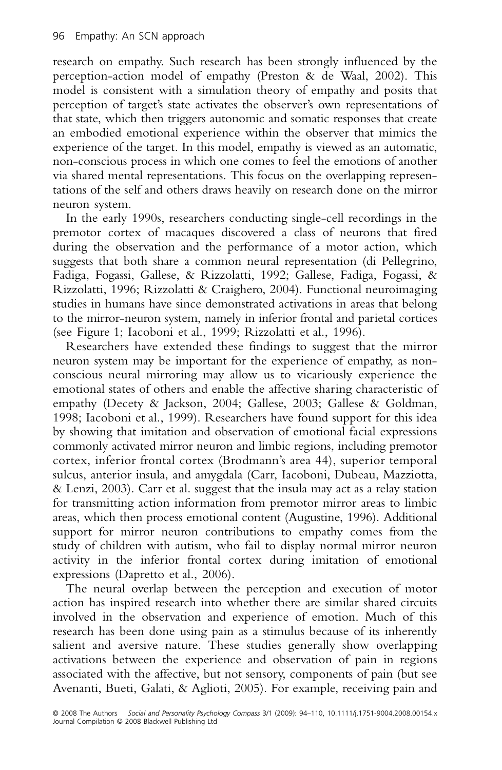research on empathy. Such research has been strongly influenced by the perception-action model of empathy (Preston & de Waal, 2002). This model is consistent with a simulation theory of empathy and posits that perception of target's state activates the observer's own representations of that state, which then triggers autonomic and somatic responses that create an embodied emotional experience within the observer that mimics the experience of the target. In this model, empathy is viewed as an automatic, non-conscious process in which one comes to feel the emotions of another via shared mental representations. This focus on the overlapping representations of the self and others draws heavily on research done on the mirror neuron system.

In the early 1990s, researchers conducting single-cell recordings in the premotor cortex of macaques discovered a class of neurons that fired during the observation and the performance of a motor action, which suggests that both share a common neural representation (di Pellegrino, Fadiga, Fogassi, Gallese, & Rizzolatti, 1992; Gallese, Fadiga, Fogassi, & Rizzolatti, 1996; Rizzolatti & Craighero, 2004). Functional neuroimaging studies in humans have since demonstrated activations in areas that belong to the mirror-neuron system, namely in inferior frontal and parietal cortices (see Figure 1; Iacoboni et al., 1999; Rizzolatti et al., 1996).

Researchers have extended these findings to suggest that the mirror neuron system may be important for the experience of empathy, as nonconscious neural mirroring may allow us to vicariously experience the emotional states of others and enable the affective sharing characteristic of empathy (Decety & Jackson, 2004; Gallese, 2003; Gallese & Goldman, 1998; Iacoboni et al., 1999). Researchers have found support for this idea by showing that imitation and observation of emotional facial expressions commonly activated mirror neuron and limbic regions, including premotor cortex, inferior frontal cortex (Brodmann's area 44), superior temporal sulcus, anterior insula, and amygdala (Carr, Iacoboni, Dubeau, Mazziotta, & Lenzi, 2003). Carr et al. suggest that the insula may act as a relay station for transmitting action information from premotor mirror areas to limbic areas, which then process emotional content (Augustine, 1996). Additional support for mirror neuron contributions to empathy comes from the study of children with autism, who fail to display normal mirror neuron activity in the inferior frontal cortex during imitation of emotional expressions (Dapretto et al., 2006).

The neural overlap between the perception and execution of motor action has inspired research into whether there are similar shared circuits involved in the observation and experience of emotion. Much of this research has been done using pain as a stimulus because of its inherently salient and aversive nature. These studies generally show overlapping activations between the experience and observation of pain in regions associated with the affective, but not sensory, components of pain (but see Avenanti, Bueti, Galati, & Aglioti, 2005). For example, receiving pain and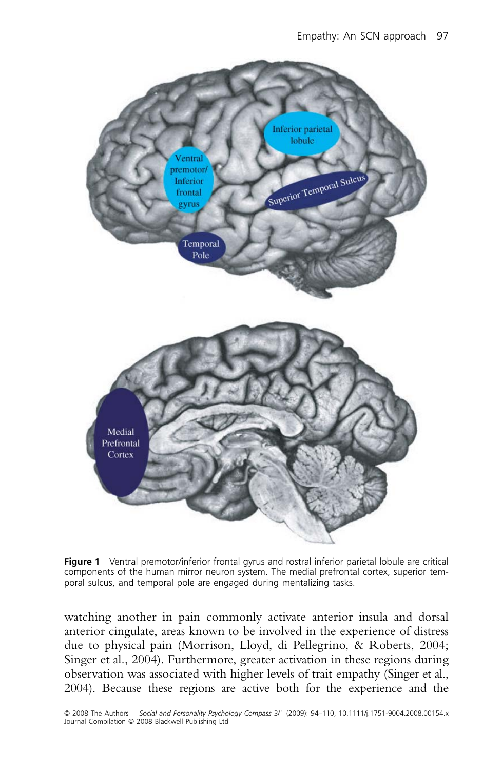

**Figure 1** Ventral premotor/inferior frontal gyrus and rostral inferior parietal lobule are critical components of the human mirror neuron system. The medial prefrontal cortex, superior temporal sulcus, and temporal pole are engaged during mentalizing tasks.

watching another in pain commonly activate anterior insula and dorsal anterior cingulate, areas known to be involved in the experience of distress due to physical pain (Morrison, Lloyd, di Pellegrino, & Roberts, 2004; Singer et al., 2004). Furthermore, greater activation in these regions during observation was associated with higher levels of trait empathy (Singer et al., 2004). Because these regions are active both for the experience and the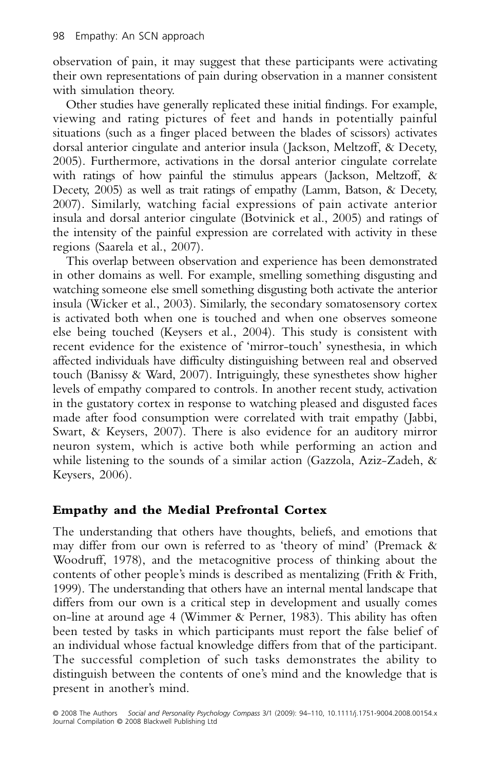observation of pain, it may suggest that these participants were activating their own representations of pain during observation in a manner consistent with simulation theory.

Other studies have generally replicated these initial findings. For example, viewing and rating pictures of feet and hands in potentially painful situations (such as a finger placed between the blades of scissors) activates dorsal anterior cingulate and anterior insula (Jackson, Meltzoff, & Decety, 2005). Furthermore, activations in the dorsal anterior cingulate correlate with ratings of how painful the stimulus appears (Jackson, Meltzoff, & Decety, 2005) as well as trait ratings of empathy (Lamm, Batson, & Decety, 2007). Similarly, watching facial expressions of pain activate anterior insula and dorsal anterior cingulate (Botvinick et al., 2005) and ratings of the intensity of the painful expression are correlated with activity in these regions (Saarela et al., 2007).

This overlap between observation and experience has been demonstrated in other domains as well. For example, smelling something disgusting and watching someone else smell something disgusting both activate the anterior insula (Wicker et al., 2003). Similarly, the secondary somatosensory cortex is activated both when one is touched and when one observes someone else being touched (Keysers et al., 2004). This study is consistent with recent evidence for the existence of 'mirror-touch' synesthesia, in which affected individuals have difficulty distinguishing between real and observed touch (Banissy & Ward, 2007). Intriguingly, these synesthetes show higher levels of empathy compared to controls. In another recent study, activation in the gustatory cortex in response to watching pleased and disgusted faces made after food consumption were correlated with trait empathy (Jabbi, Swart, & Keysers, 2007). There is also evidence for an auditory mirror neuron system, which is active both while performing an action and while listening to the sounds of a similar action (Gazzola, Aziz-Zadeh, & Keysers, 2006).

# **Empathy and the Medial Prefrontal Cortex**

The understanding that others have thoughts, beliefs, and emotions that may differ from our own is referred to as 'theory of mind' (Premack & Woodruff, 1978), and the metacognitive process of thinking about the contents of other people's minds is described as mentalizing (Frith & Frith, 1999). The understanding that others have an internal mental landscape that differs from our own is a critical step in development and usually comes on-line at around age 4 (Wimmer & Perner, 1983). This ability has often been tested by tasks in which participants must report the false belief of an individual whose factual knowledge differs from that of the participant. The successful completion of such tasks demonstrates the ability to distinguish between the contents of one's mind and the knowledge that is present in another's mind.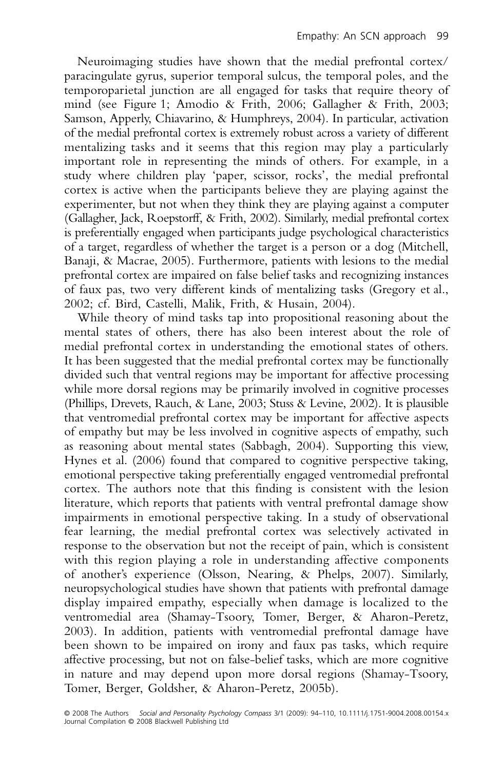Neuroimaging studies have shown that the medial prefrontal cortex/ paracingulate gyrus, superior temporal sulcus, the temporal poles, and the temporoparietal junction are all engaged for tasks that require theory of mind (see Figure 1; Amodio & Frith, 2006; Gallagher & Frith, 2003; Samson, Apperly, Chiavarino, & Humphreys, 2004). In particular, activation of the medial prefrontal cortex is extremely robust across a variety of different mentalizing tasks and it seems that this region may play a particularly important role in representing the minds of others. For example, in a study where children play 'paper, scissor, rocks', the medial prefrontal cortex is active when the participants believe they are playing against the experimenter, but not when they think they are playing against a computer (Gallagher, Jack, Roepstorff, & Frith, 2002). Similarly, medial prefrontal cortex is preferentially engaged when participants judge psychological characteristics of a target, regardless of whether the target is a person or a dog (Mitchell, Banaji, & Macrae, 2005). Furthermore, patients with lesions to the medial prefrontal cortex are impaired on false belief tasks and recognizing instances of faux pas, two very different kinds of mentalizing tasks (Gregory et al., 2002; cf. Bird, Castelli, Malik, Frith, & Husain, 2004).

While theory of mind tasks tap into propositional reasoning about the mental states of others, there has also been interest about the role of medial prefrontal cortex in understanding the emotional states of others. It has been suggested that the medial prefrontal cortex may be functionally divided such that ventral regions may be important for affective processing while more dorsal regions may be primarily involved in cognitive processes (Phillips, Drevets, Rauch, & Lane, 2003; Stuss & Levine, 2002). It is plausible that ventromedial prefrontal cortex may be important for affective aspects of empathy but may be less involved in cognitive aspects of empathy, such as reasoning about mental states (Sabbagh, 2004). Supporting this view, Hynes et al. (2006) found that compared to cognitive perspective taking, emotional perspective taking preferentially engaged ventromedial prefrontal cortex. The authors note that this finding is consistent with the lesion literature, which reports that patients with ventral prefrontal damage show impairments in emotional perspective taking. In a study of observational fear learning, the medial prefrontal cortex was selectively activated in response to the observation but not the receipt of pain, which is consistent with this region playing a role in understanding affective components of another's experience (Olsson, Nearing, & Phelps, 2007). Similarly, neuropsychological studies have shown that patients with prefrontal damage display impaired empathy, especially when damage is localized to the ventromedial area (Shamay-Tsoory, Tomer, Berger, & Aharon-Peretz, 2003). In addition, patients with ventromedial prefrontal damage have been shown to be impaired on irony and faux pas tasks, which require affective processing, but not on false-belief tasks, which are more cognitive in nature and may depend upon more dorsal regions (Shamay-Tsoory, Tomer, Berger, Goldsher, & Aharon-Peretz, 2005b).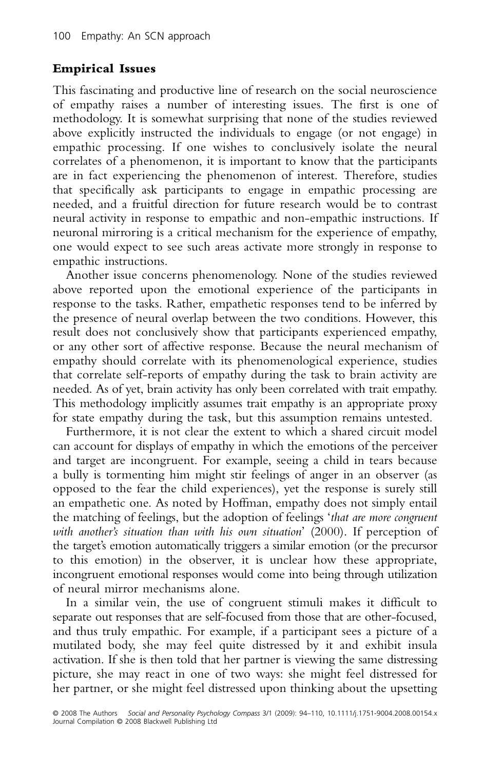### **Empirical Issues**

This fascinating and productive line of research on the social neuroscience of empathy raises a number of interesting issues. The first is one of methodology. It is somewhat surprising that none of the studies reviewed above explicitly instructed the individuals to engage (or not engage) in empathic processing. If one wishes to conclusively isolate the neural correlates of a phenomenon, it is important to know that the participants are in fact experiencing the phenomenon of interest. Therefore, studies that specifically ask participants to engage in empathic processing are needed, and a fruitful direction for future research would be to contrast neural activity in response to empathic and non-empathic instructions. If neuronal mirroring is a critical mechanism for the experience of empathy, one would expect to see such areas activate more strongly in response to empathic instructions.

Another issue concerns phenomenology. None of the studies reviewed above reported upon the emotional experience of the participants in response to the tasks. Rather, empathetic responses tend to be inferred by the presence of neural overlap between the two conditions. However, this result does not conclusively show that participants experienced empathy, or any other sort of affective response. Because the neural mechanism of empathy should correlate with its phenomenological experience, studies that correlate self-reports of empathy during the task to brain activity are needed. As of yet, brain activity has only been correlated with trait empathy. This methodology implicitly assumes trait empathy is an appropriate proxy for state empathy during the task, but this assumption remains untested.

Furthermore, it is not clear the extent to which a shared circuit model can account for displays of empathy in which the emotions of the perceiver and target are incongruent. For example, seeing a child in tears because a bully is tormenting him might stir feelings of anger in an observer (as opposed to the fear the child experiences), yet the response is surely still an empathetic one. As noted by Hoffman, empathy does not simply entail the matching of feelings, but the adoption of feelings '*that are more congruent with another's situation than with his own situation*' (2000). If perception of the target's emotion automatically triggers a similar emotion (or the precursor to this emotion) in the observer, it is unclear how these appropriate, incongruent emotional responses would come into being through utilization of neural mirror mechanisms alone.

In a similar vein, the use of congruent stimuli makes it difficult to separate out responses that are self-focused from those that are other-focused, and thus truly empathic. For example, if a participant sees a picture of a mutilated body, she may feel quite distressed by it and exhibit insula activation. If she is then told that her partner is viewing the same distressing picture, she may react in one of two ways: she might feel distressed for her partner, or she might feel distressed upon thinking about the upsetting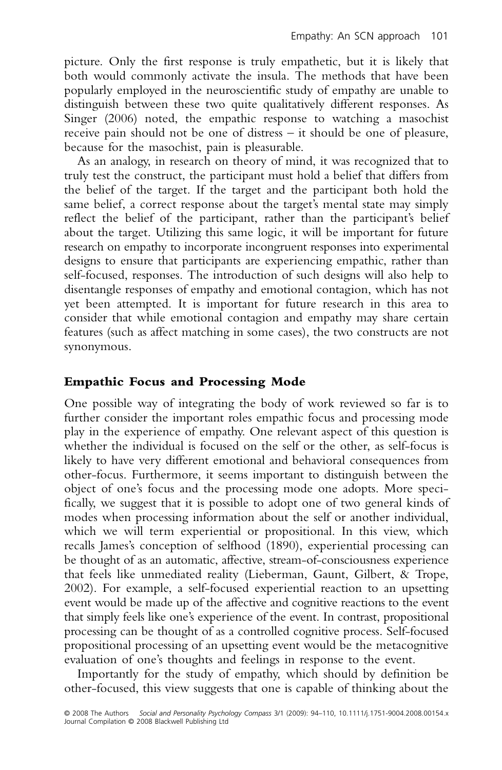picture. Only the first response is truly empathetic, but it is likely that both would commonly activate the insula. The methods that have been popularly employed in the neuroscientific study of empathy are unable to distinguish between these two quite qualitatively different responses. As Singer (2006) noted, the empathic response to watching a masochist receive pain should not be one of distress – it should be one of pleasure, because for the masochist, pain is pleasurable.

As an analogy, in research on theory of mind, it was recognized that to truly test the construct, the participant must hold a belief that differs from the belief of the target. If the target and the participant both hold the same belief, a correct response about the target's mental state may simply reflect the belief of the participant, rather than the participant's belief about the target. Utilizing this same logic, it will be important for future research on empathy to incorporate incongruent responses into experimental designs to ensure that participants are experiencing empathic, rather than self-focused, responses. The introduction of such designs will also help to disentangle responses of empathy and emotional contagion, which has not yet been attempted. It is important for future research in this area to consider that while emotional contagion and empathy may share certain features (such as affect matching in some cases), the two constructs are not synonymous.

#### **Empathic Focus and Processing Mode**

One possible way of integrating the body of work reviewed so far is to further consider the important roles empathic focus and processing mode play in the experience of empathy. One relevant aspect of this question is whether the individual is focused on the self or the other, as self-focus is likely to have very different emotional and behavioral consequences from other-focus. Furthermore, it seems important to distinguish between the object of one's focus and the processing mode one adopts. More specifically, we suggest that it is possible to adopt one of two general kinds of modes when processing information about the self or another individual, which we will term experiential or propositional. In this view, which recalls James's conception of selfhood (1890), experiential processing can be thought of as an automatic, affective, stream-of-consciousness experience that feels like unmediated reality (Lieberman, Gaunt, Gilbert, & Trope, 2002). For example, a self-focused experiential reaction to an upsetting event would be made up of the affective and cognitive reactions to the event that simply feels like one's experience of the event. In contrast, propositional processing can be thought of as a controlled cognitive process. Self-focused propositional processing of an upsetting event would be the metacognitive evaluation of one's thoughts and feelings in response to the event.

Importantly for the study of empathy, which should by definition be other-focused, this view suggests that one is capable of thinking about the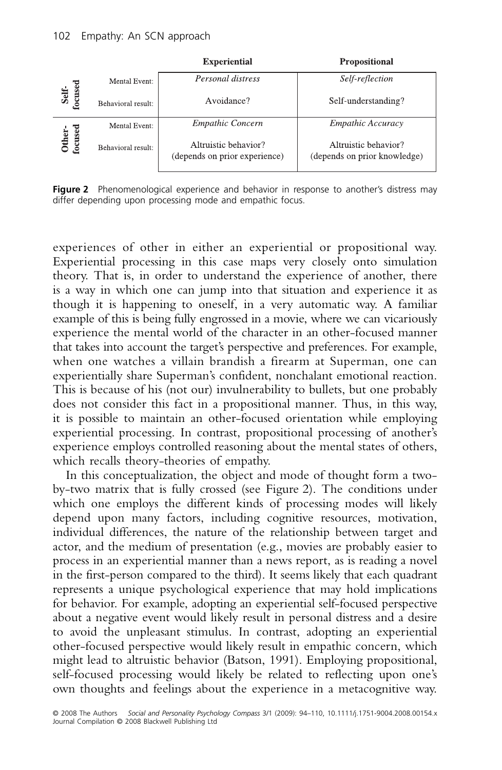|                          |                    | <b>Experiential</b>                                   | <b>Propositional</b>                                 |
|--------------------------|--------------------|-------------------------------------------------------|------------------------------------------------------|
|                          | Mental Event:      | Personal distress                                     | Self-reflection                                      |
| <b>b</b> ecused<br>Self- | Behavioral result: | Avoidance?                                            | Self-understanding?                                  |
| focused<br>Other-        | Mental Event:      | <b>Empathic Concern</b>                               | <b>Empathic Accuracy</b>                             |
|                          | Behavioral result: | Altruistic behavior?<br>(depends on prior experience) | Altruistic behavior?<br>(depends on prior knowledge) |

Evnoriontiol

**Figure 2** Phenomenological experience and behavior in response to another's distress may differ depending upon processing mode and empathic focus.

experiences of other in either an experiential or propositional way. Experiential processing in this case maps very closely onto simulation theory. That is, in order to understand the experience of another, there is a way in which one can jump into that situation and experience it as though it is happening to oneself, in a very automatic way. A familiar example of this is being fully engrossed in a movie, where we can vicariously experience the mental world of the character in an other-focused manner that takes into account the target's perspective and preferences. For example, when one watches a villain brandish a firearm at Superman, one can experientially share Superman's confident, nonchalant emotional reaction. This is because of his (not our) invulnerability to bullets, but one probably does not consider this fact in a propositional manner. Thus, in this way, it is possible to maintain an other-focused orientation while employing experiential processing. In contrast, propositional processing of another's experience employs controlled reasoning about the mental states of others, which recalls theory-theories of empathy.

In this conceptualization, the object and mode of thought form a twoby-two matrix that is fully crossed (see Figure 2). The conditions under which one employs the different kinds of processing modes will likely depend upon many factors, including cognitive resources, motivation, individual differences, the nature of the relationship between target and actor, and the medium of presentation (e.g., movies are probably easier to process in an experiential manner than a news report, as is reading a novel in the first-person compared to the third). It seems likely that each quadrant represents a unique psychological experience that may hold implications for behavior. For example, adopting an experiential self-focused perspective about a negative event would likely result in personal distress and a desire to avoid the unpleasant stimulus. In contrast, adopting an experiential other-focused perspective would likely result in empathic concern, which might lead to altruistic behavior (Batson, 1991). Employing propositional, self-focused processing would likely be related to reflecting upon one's own thoughts and feelings about the experience in a metacognitive way.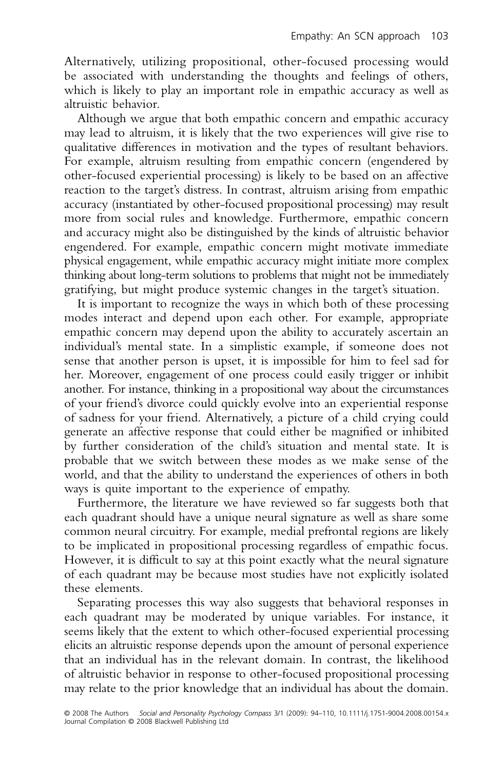Alternatively, utilizing propositional, other-focused processing would be associated with understanding the thoughts and feelings of others, which is likely to play an important role in empathic accuracy as well as altruistic behavior.

Although we argue that both empathic concern and empathic accuracy may lead to altruism, it is likely that the two experiences will give rise to qualitative differences in motivation and the types of resultant behaviors. For example, altruism resulting from empathic concern (engendered by other-focused experiential processing) is likely to be based on an affective reaction to the target's distress. In contrast, altruism arising from empathic accuracy (instantiated by other-focused propositional processing) may result more from social rules and knowledge. Furthermore, empathic concern and accuracy might also be distinguished by the kinds of altruistic behavior engendered. For example, empathic concern might motivate immediate physical engagement, while empathic accuracy might initiate more complex thinking about long-term solutions to problems that might not be immediately gratifying, but might produce systemic changes in the target's situation.

It is important to recognize the ways in which both of these processing modes interact and depend upon each other. For example, appropriate empathic concern may depend upon the ability to accurately ascertain an individual's mental state. In a simplistic example, if someone does not sense that another person is upset, it is impossible for him to feel sad for her. Moreover, engagement of one process could easily trigger or inhibit another. For instance, thinking in a propositional way about the circumstances of your friend's divorce could quickly evolve into an experiential response of sadness for your friend. Alternatively, a picture of a child crying could generate an affective response that could either be magnified or inhibited by further consideration of the child's situation and mental state. It is probable that we switch between these modes as we make sense of the world, and that the ability to understand the experiences of others in both ways is quite important to the experience of empathy.

Furthermore, the literature we have reviewed so far suggests both that each quadrant should have a unique neural signature as well as share some common neural circuitry. For example, medial prefrontal regions are likely to be implicated in propositional processing regardless of empathic focus. However, it is difficult to say at this point exactly what the neural signature of each quadrant may be because most studies have not explicitly isolated these elements.

Separating processes this way also suggests that behavioral responses in each quadrant may be moderated by unique variables. For instance, it seems likely that the extent to which other-focused experiential processing elicits an altruistic response depends upon the amount of personal experience that an individual has in the relevant domain. In contrast, the likelihood of altruistic behavior in response to other-focused propositional processing may relate to the prior knowledge that an individual has about the domain.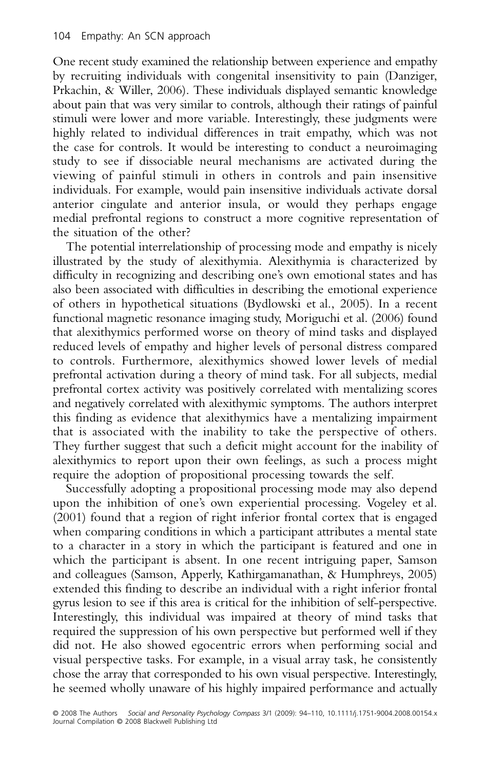One recent study examined the relationship between experience and empathy by recruiting individuals with congenital insensitivity to pain (Danziger, Prkachin, & Willer, 2006). These individuals displayed semantic knowledge about pain that was very similar to controls, although their ratings of painful stimuli were lower and more variable. Interestingly, these judgments were highly related to individual differences in trait empathy, which was not the case for controls. It would be interesting to conduct a neuroimaging study to see if dissociable neural mechanisms are activated during the viewing of painful stimuli in others in controls and pain insensitive individuals. For example, would pain insensitive individuals activate dorsal anterior cingulate and anterior insula, or would they perhaps engage medial prefrontal regions to construct a more cognitive representation of the situation of the other?

The potential interrelationship of processing mode and empathy is nicely illustrated by the study of alexithymia. Alexithymia is characterized by difficulty in recognizing and describing one's own emotional states and has also been associated with difficulties in describing the emotional experience of others in hypothetical situations (Bydlowski et al., 2005). In a recent functional magnetic resonance imaging study, Moriguchi et al. (2006) found that alexithymics performed worse on theory of mind tasks and displayed reduced levels of empathy and higher levels of personal distress compared to controls. Furthermore, alexithymics showed lower levels of medial prefrontal activation during a theory of mind task. For all subjects, medial prefrontal cortex activity was positively correlated with mentalizing scores and negatively correlated with alexithymic symptoms. The authors interpret this finding as evidence that alexithymics have a mentalizing impairment that is associated with the inability to take the perspective of others. They further suggest that such a deficit might account for the inability of alexithymics to report upon their own feelings, as such a process might require the adoption of propositional processing towards the self.

Successfully adopting a propositional processing mode may also depend upon the inhibition of one's own experiential processing. Vogeley et al. (2001) found that a region of right inferior frontal cortex that is engaged when comparing conditions in which a participant attributes a mental state to a character in a story in which the participant is featured and one in which the participant is absent. In one recent intriguing paper, Samson and colleagues (Samson, Apperly, Kathirgamanathan, & Humphreys, 2005) extended this finding to describe an individual with a right inferior frontal gyrus lesion to see if this area is critical for the inhibition of self-perspective. Interestingly, this individual was impaired at theory of mind tasks that required the suppression of his own perspective but performed well if they did not. He also showed egocentric errors when performing social and visual perspective tasks. For example, in a visual array task, he consistently chose the array that corresponded to his own visual perspective. Interestingly, he seemed wholly unaware of his highly impaired performance and actually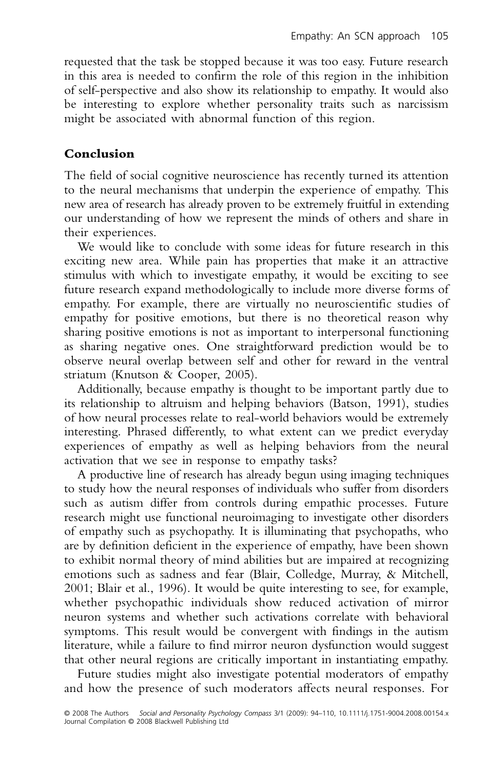requested that the task be stopped because it was too easy. Future research in this area is needed to confirm the role of this region in the inhibition of self-perspective and also show its relationship to empathy. It would also be interesting to explore whether personality traits such as narcissism might be associated with abnormal function of this region.

# **Conclusion**

The field of social cognitive neuroscience has recently turned its attention to the neural mechanisms that underpin the experience of empathy. This new area of research has already proven to be extremely fruitful in extending our understanding of how we represent the minds of others and share in their experiences.

We would like to conclude with some ideas for future research in this exciting new area. While pain has properties that make it an attractive stimulus with which to investigate empathy, it would be exciting to see future research expand methodologically to include more diverse forms of empathy. For example, there are virtually no neuroscientific studies of empathy for positive emotions, but there is no theoretical reason why sharing positive emotions is not as important to interpersonal functioning as sharing negative ones. One straightforward prediction would be to observe neural overlap between self and other for reward in the ventral striatum (Knutson & Cooper, 2005).

Additionally, because empathy is thought to be important partly due to its relationship to altruism and helping behaviors (Batson, 1991), studies of how neural processes relate to real-world behaviors would be extremely interesting. Phrased differently, to what extent can we predict everyday experiences of empathy as well as helping behaviors from the neural activation that we see in response to empathy tasks?

A productive line of research has already begun using imaging techniques to study how the neural responses of individuals who suffer from disorders such as autism differ from controls during empathic processes. Future research might use functional neuroimaging to investigate other disorders of empathy such as psychopathy. It is illuminating that psychopaths, who are by definition deficient in the experience of empathy, have been shown to exhibit normal theory of mind abilities but are impaired at recognizing emotions such as sadness and fear (Blair, Colledge, Murray, & Mitchell, 2001; Blair et al., 1996). It would be quite interesting to see, for example, whether psychopathic individuals show reduced activation of mirror neuron systems and whether such activations correlate with behavioral symptoms. This result would be convergent with findings in the autism literature, while a failure to find mirror neuron dysfunction would suggest that other neural regions are critically important in instantiating empathy.

Future studies might also investigate potential moderators of empathy and how the presence of such moderators affects neural responses. For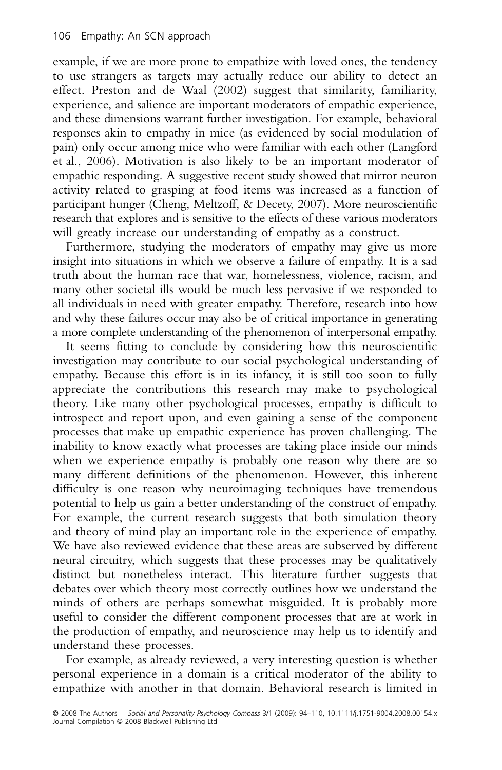example, if we are more prone to empathize with loved ones, the tendency to use strangers as targets may actually reduce our ability to detect an effect. Preston and de Waal (2002) suggest that similarity, familiarity, experience, and salience are important moderators of empathic experience, and these dimensions warrant further investigation. For example, behavioral responses akin to empathy in mice (as evidenced by social modulation of pain) only occur among mice who were familiar with each other (Langford et al., 2006). Motivation is also likely to be an important moderator of empathic responding. A suggestive recent study showed that mirror neuron activity related to grasping at food items was increased as a function of participant hunger (Cheng, Meltzoff, & Decety, 2007). More neuroscientific research that explores and is sensitive to the effects of these various moderators will greatly increase our understanding of empathy as a construct.

Furthermore, studying the moderators of empathy may give us more insight into situations in which we observe a failure of empathy. It is a sad truth about the human race that war, homelessness, violence, racism, and many other societal ills would be much less pervasive if we responded to all individuals in need with greater empathy. Therefore, research into how and why these failures occur may also be of critical importance in generating a more complete understanding of the phenomenon of interpersonal empathy.

It seems fitting to conclude by considering how this neuroscientific investigation may contribute to our social psychological understanding of empathy. Because this effort is in its infancy, it is still too soon to fully appreciate the contributions this research may make to psychological theory. Like many other psychological processes, empathy is difficult to introspect and report upon, and even gaining a sense of the component processes that make up empathic experience has proven challenging. The inability to know exactly what processes are taking place inside our minds when we experience empathy is probably one reason why there are so many different definitions of the phenomenon. However, this inherent difficulty is one reason why neuroimaging techniques have tremendous potential to help us gain a better understanding of the construct of empathy. For example, the current research suggests that both simulation theory and theory of mind play an important role in the experience of empathy. We have also reviewed evidence that these areas are subserved by different neural circuitry, which suggests that these processes may be qualitatively distinct but nonetheless interact. This literature further suggests that debates over which theory most correctly outlines how we understand the minds of others are perhaps somewhat misguided. It is probably more useful to consider the different component processes that are at work in the production of empathy, and neuroscience may help us to identify and understand these processes.

For example, as already reviewed, a very interesting question is whether personal experience in a domain is a critical moderator of the ability to empathize with another in that domain. Behavioral research is limited in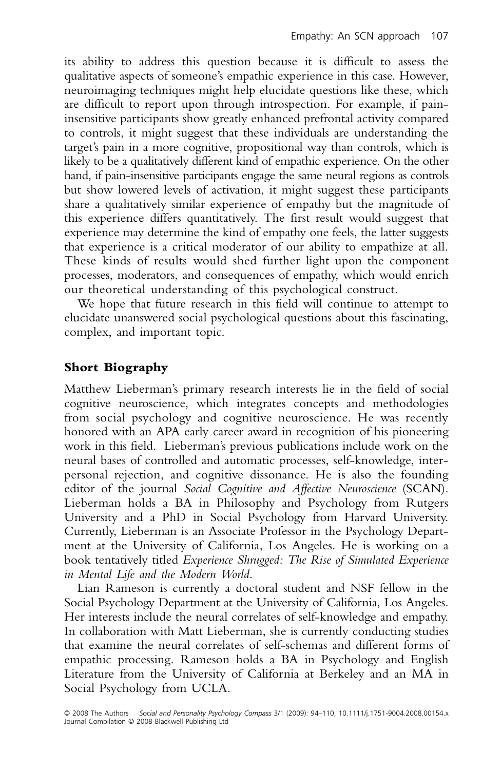its ability to address this question because it is difficult to assess the qualitative aspects of someone's empathic experience in this case. However, neuroimaging techniques might help elucidate questions like these, which are difficult to report upon through introspection. For example, if paininsensitive participants show greatly enhanced prefrontal activity compared to controls, it might suggest that these individuals are understanding the target's pain in a more cognitive, propositional way than controls, which is likely to be a qualitatively different kind of empathic experience. On the other hand, if pain-insensitive participants engage the same neural regions as controls but show lowered levels of activation, it might suggest these participants share a qualitatively similar experience of empathy but the magnitude of this experience differs quantitatively. The first result would suggest that experience may determine the kind of empathy one feels, the latter suggests that experience is a critical moderator of our ability to empathize at all. These kinds of results would shed further light upon the component processes, moderators, and consequences of empathy, which would enrich our theoretical understanding of this psychological construct.

We hope that future research in this field will continue to attempt to elucidate unanswered social psychological questions about this fascinating, complex, and important topic.

# **Short Biography**

Matthew Lieberman's primary research interests lie in the field of social cognitive neuroscience, which integrates concepts and methodologies from social psychology and cognitive neuroscience. He was recently honored with an APA early career award in recognition of his pioneering work in this field. Lieberman's previous publications include work on the neural bases of controlled and automatic processes, self-knowledge, interpersonal rejection, and cognitive dissonance. He is also the founding editor of the journal *Social Cognitive and Affective Neuroscience* (SCAN). Lieberman holds a BA in Philosophy and Psychology from Rutgers University and a PhD in Social Psychology from Harvard University. Currently, Lieberman is an Associate Professor in the Psychology Department at the University of California, Los Angeles. He is working on a book tentatively titled *Experience Shrugged: The Rise of Simulated Experience in Mental Life and the Modern World*.

Lian Rameson is currently a doctoral student and NSF fellow in the Social Psychology Department at the University of California, Los Angeles. Her interests include the neural correlates of self-knowledge and empathy. In collaboration with Matt Lieberman, she is currently conducting studies that examine the neural correlates of self-schemas and different forms of empathic processing. Rameson holds a BA in Psychology and English Literature from the University of California at Berkeley and an MA in Social Psychology from UCLA.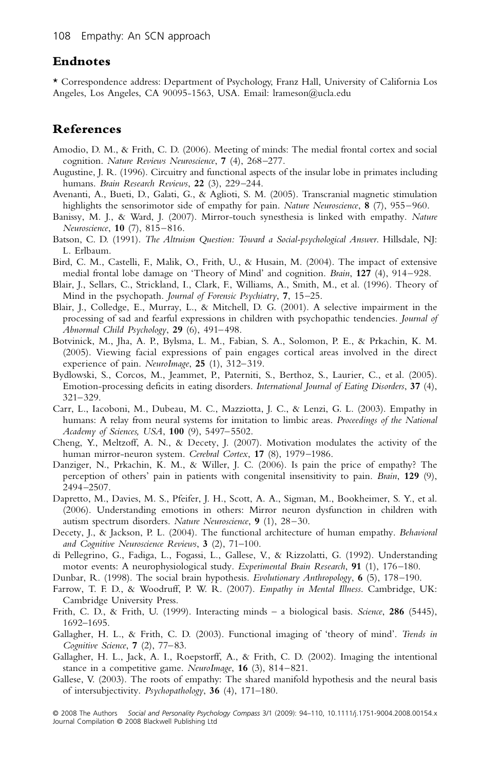#### **Endnotes**

\* Correspondence address: Department of Psychology, Franz Hall, University of California Los Angeles, Los Angeles, CA 90095-1563, USA. Email: lrameson@ucla.edu

#### **References**

- Amodio, D. M., & Frith, C. D. (2006). Meeting of minds: The medial frontal cortex and social cognition. *Nature Reviews Neuroscience*, **7** (4), 268–277.
- Augustine, J. R. (1996). Circuitry and functional aspects of the insular lobe in primates including humans. *Brain Research Reviews*, **22** (3), 229–244.
- Avenanti, A., Bueti, D., Galati, G., & Aglioti, S. M. (2005). Transcranial magnetic stimulation highlights the sensorimotor side of empathy for pain. *Nature Neuroscience*, **8** (7), 955–960.
- Banissy, M. J., & Ward, J. (2007). Mirror-touch synesthesia is linked with empathy. *Nature Neuroscience*, **10** (7), 815–816.
- Batson, C. D. (1991). *The Altruism Question: Toward a Social-psychological Answer*. Hillsdale, NJ: L. Erlbaum.
- Bird, C. M., Castelli, F., Malik, O., Frith, U., & Husain, M. (2004). The impact of extensive medial frontal lobe damage on 'Theory of Mind' and cognition. *Brain*, **127** (4), 914–928.
- Blair, J., Sellars, C., Strickland, I., Clark, F., Williams, A., Smith, M., et al. (1996). Theory of Mind in the psychopath. *Journal of Forensic Psychiatry*, **7**, 15–25.
- Blair, J., Colledge, E., Murray, L., & Mitchell, D. G. (2001). A selective impairment in the processing of sad and fearful expressions in children with psychopathic tendencies. *Journal of Abnormal Child Psychology*, **29** (6), 491–498.
- Botvinick, M., Jha, A. P., Bylsma, L. M., Fabian, S. A., Solomon, P. E., & Prkachin, K. M. (2005). Viewing facial expressions of pain engages cortical areas involved in the direct experience of pain. *NeuroImage*, **25** (1), 312–319.
- Bydlowski, S., Corcos, M., Jeammet, P., Paterniti, S., Berthoz, S., Laurier, C., et al. (2005). Emotion-processing deficits in eating disorders. *International Journal of Eating Disorders*, **37** (4), 321–329.
- Carr, L., Iacoboni, M., Dubeau, M. C., Mazziotta, J. C., & Lenzi, G. L. (2003). Empathy in humans: A relay from neural systems for imitation to limbic areas. *Proceedings of the National Academy of Sciences, USA*, **100** (9), 5497–5502.
- Cheng, Y., Meltzoff, A. N., & Decety, J. (2007). Motivation modulates the activity of the human mirror-neuron system. *Cerebral Cortex*, **17** (8), 1979–1986.
- Danziger, N., Prkachin, K. M., & Willer, J. C. (2006). Is pain the price of empathy? The perception of others' pain in patients with congenital insensitivity to pain. *Brain*, **129** (9), 2494–2507.
- Dapretto, M., Davies, M. S., Pfeifer, J. H., Scott, A. A., Sigman, M., Bookheimer, S. Y., et al. (2006). Understanding emotions in others: Mirror neuron dysfunction in children with autism spectrum disorders. *Nature Neuroscience*, **9** (1), 28–30.
- Decety, J., & Jackson, P. L. (2004). The functional architecture of human empathy. *Behavioral and Cognitive Neuroscience Reviews*, **3** (2), 71–100.
- di Pellegrino, G., Fadiga, L., Fogassi, L., Gallese, V., & Rizzolatti, G. (1992). Understanding motor events: A neurophysiological study. *Experimental Brain Research*, **91** (1), 176–180.
- Dunbar, R. (1998). The social brain hypothesis. *Evolutionary Anthropology*, **6** (5), 178–190.
- Farrow, T. F. D., & Woodruff, P. W. R. (2007). *Empathy in Mental Illness*. Cambridge, UK: Cambridge University Press.
- Frith, C. D., & Frith, U. (1999). Interacting minds a biological basis. *Science*, **286** (5445), 1692–1695.
- Gallagher, H. L., & Frith, C. D. (2003). Functional imaging of 'theory of mind'. *Trends in Cognitive Science*, **7** (2), 77–83.
- Gallagher, H. L., Jack, A. I., Roepstorff, A., & Frith, C. D. (2002). Imaging the intentional stance in a competitive game. *NeuroImage*, **16** (3), 814–821.
- Gallese, V. (2003). The roots of empathy: The shared manifold hypothesis and the neural basis of intersubjectivity. *Psychopathology*, **36** (4), 171–180.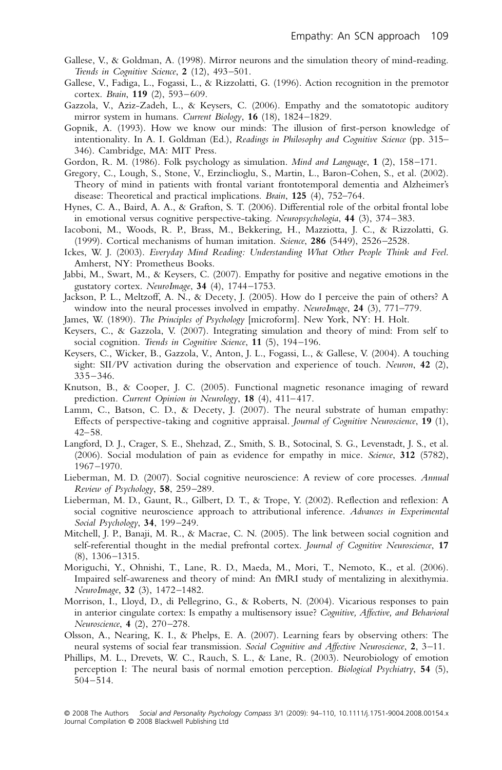- Gallese, V., & Goldman, A. (1998). Mirror neurons and the simulation theory of mind-reading. *Trends in Cognitive Science*, **2** (12), 493–501.
- Gallese, V., Fadiga, L., Fogassi, L., & Rizzolatti, G. (1996). Action recognition in the premotor cortex. *Brain*, **119** (2), 593–609.
- Gazzola, V., Aziz-Zadeh, L., & Keysers, C. (2006). Empathy and the somatotopic auditory mirror system in humans. *Current Biology*, **16** (18), 1824–1829.
- Gopnik, A. (1993). How we know our minds: The illusion of first-person knowledge of intentionality. In A. I. Goldman (Ed.), *Readings in Philosophy and Cognitive Science* (pp. 315– 346). Cambridge, MA: MIT Press.
- Gordon, R. M. (1986). Folk psychology as simulation. *Mind and Language*, **1** (2), 158–171.
- Gregory, C., Lough, S., Stone, V., Erzinclioglu, S., Martin, L., Baron-Cohen, S., et al. (2002). Theory of mind in patients with frontal variant frontotemporal dementia and Alzheimer's disease: Theoretical and practical implications. *Brain*, **125** (4), 752–764.
- Hynes, C. A., Baird, A. A., & Grafton, S. T. (2006). Differential role of the orbital frontal lobe in emotional versus cognitive perspective-taking. *Neuropsychologia*, **44** (3), 374–383.
- Iacoboni, M., Woods, R. P., Brass, M., Bekkering, H., Mazziotta, J. C., & Rizzolatti, G. (1999). Cortical mechanisms of human imitation. *Science*, **286** (5449), 2526–2528.
- Ickes, W. J. (2003). *Everyday Mind Reading: Understanding What Other People Think and Feel*. Amherst, NY: Prometheus Books.
- Jabbi, M., Swart, M., & Keysers, C. (2007). Empathy for positive and negative emotions in the gustatory cortex. *NeuroImage*, **34** (4), 1744–1753.
- Jackson, P. L., Meltzoff, A. N., & Decety, J. (2005). How do I perceive the pain of others? A window into the neural processes involved in empathy. *NeuroImage*, **24** (3), 771–779.
- James, W. (1890). *The Principles of Psychology* [microform]. New York, NY: H. Holt.
- Keysers, C., & Gazzola, V. (2007). Integrating simulation and theory of mind: From self to social cognition. *Trends in Cognitive Science*, **11** (5), 194–196.
- Keysers, C., Wicker, B., Gazzola, V., Anton, J. L., Fogassi, L., & Gallese, V. (2004). A touching sight: SII/PV activation during the observation and experience of touch. *Neuron*, **42** (2), 335–346.
- Knutson, B., & Cooper, J. C. (2005). Functional magnetic resonance imaging of reward prediction. *Current Opinion in Neurology*, **18** (4), 411–417.
- Lamm, C., Batson, C. D., & Decety, J. (2007). The neural substrate of human empathy: Effects of perspective-taking and cognitive appraisal. *Journal of Cognitive Neuroscience*, **19** (1), 42–58.
- Langford, D. J., Crager, S. E., Shehzad, Z., Smith, S. B., Sotocinal, S. G., Levenstadt, J. S., et al. (2006). Social modulation of pain as evidence for empathy in mice. *Science*, **312** (5782), 1967–1970.
- Lieberman, M. D. (2007). Social cognitive neuroscience: A review of core processes. *Annual Review of Psychology*, **58**, 259–289.
- Lieberman, M. D., Gaunt, R., Gilbert, D. T., & Trope, Y. (2002). Reflection and reflexion: A social cognitive neuroscience approach to attributional inference. *Advances in Experimental Social Psychology*, **34**, 199–249.
- Mitchell, J. P., Banaji, M. R., & Macrae, C. N. (2005). The link between social cognition and self-referential thought in the medial prefrontal cortex. *Journal of Cognitive Neuroscience*, **17** (8), 1306–1315.
- Moriguchi, Y., Ohnishi, T., Lane, R. D., Maeda, M., Mori, T., Nemoto, K., et al. (2006). Impaired self-awareness and theory of mind: An fMRI study of mentalizing in alexithymia. *NeuroImage*, **32** (3), 1472–1482.
- Morrison, I., Lloyd, D., di Pellegrino, G., & Roberts, N. (2004). Vicarious responses to pain in anterior cingulate cortex: Is empathy a multisensory issue? *Cognitive, Affective, and Behavioral Neuroscience*, **4** (2), 270–278.
- Olsson, A., Nearing, K. I., & Phelps, E. A. (2007). Learning fears by observing others: The neural systems of social fear transmission. *Social Cognitive and Affective Neuroscience*, **2**, 3–11.
- Phillips, M. L., Drevets, W. C., Rauch, S. L., & Lane, R. (2003). Neurobiology of emotion perception I: The neural basis of normal emotion perception. *Biological Psychiatry*, **54** (5), 504–514.